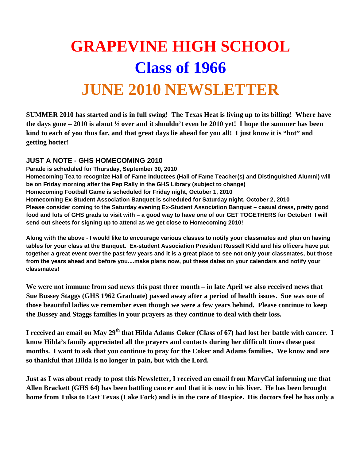## **GRAPEVINE HIGH SCHOOL Class of 1966 JUNE 2010 NEWSLETTER**

**SUMMER 2010 has started and is in full swing! The Texas Heat is living up to its billing! Where have the days gone – 2010 is about ½ over and it shouldn't even be 2010 yet! I hope the summer has been kind to each of you thus far, and that great days lie ahead for you all! I just know it is "hot" and getting hotter!** 

## **JUST A NOTE - GHS HOMECOMING 2010**

**Parade is scheduled for Thursday, September 30, 2010 Homecoming Tea to recognize Hall of Fame Inductees (Hall of Fame Teacher(s) and Distinguished Alumni) will be on Friday morning after the Pep Rally in the GHS Library (subject to change) Homecoming Football Game is scheduled for Friday night, October 1, 2010 Homecoming Ex-Student Association Banquet is scheduled for Saturday night, October 2, 2010 Please consider coming to the Saturday evening Ex-Student Association Banquet – casual dress, pretty good food and lots of GHS grads to visit with – a good way to have one of our GET TOGETHERS for October! I will send out sheets for signing up to attend as we get close to Homecoming 2010!** 

**Along with the above** - **I would like to encourage various classes to notify your classmates and plan on having tables for your class at the Banquet. Ex-student Association President Russell Kidd and his officers have put together a great event over the past few years and it is a great place to see not only your classmates, but those from the years ahead and before you....make plans now, put these dates on your calendars and notify your classmates!** 

**We were not immune from sad news this past three month – in late April we also received news that Sue Bussey Staggs (GHS 1962 Graduate) passed away after a period of health issues. Sue was one of those beautiful ladies we remember even though we were a few years behind. Please continue to keep the Bussey and Staggs families in your prayers as they continue to deal with their loss.** 

**I** received an email on May 29<sup>th</sup> that Hilda Adams Coker (Class of 67) had lost her battle with cancer. I **know Hilda's family appreciated all the prayers and contacts during her difficult times these past months. I want to ask that you continue to pray for the Coker and Adams families. We know and are so thankful that Hilda is no longer in pain, but with the Lord.** 

**Just as I was about ready to post this Newsletter, I received an email from MaryCal informing me that Allen Brackett (GHS 64) has been battling cancer and that it is now in his liver. He has been brought home from Tulsa to East Texas (Lake Fork) and is in the care of Hospice. His doctors feel he has only a**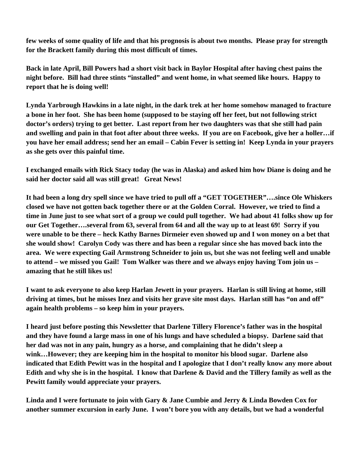**few weeks of some quality of life and that his prognosis is about two months. Please pray for strength for the Brackett family during this most difficult of times.** 

**Back in late April, Bill Powers had a short visit back in Baylor Hospital after having chest pains the night before. Bill had three stints "installed" and went home, in what seemed like hours. Happy to report that he is doing well!** 

**Lynda Yarbrough Hawkins in a late night, in the dark trek at her home somehow managed to fracture a bone in her foot. She has been home (supposed to be staying off her feet, but not following strict doctor's orders) trying to get better. Last report from her two daughters was that she still had pain and swelling and pain in that foot after about three weeks. If you are on Facebook, give her a holler…if you have her email address; send her an email – Cabin Fever is setting in! Keep Lynda in your prayers as she gets over this painful time.** 

**I exchanged emails with Rick Stacy today (he was in Alaska) and asked him how Diane is doing and he said her doctor said all was still great! Great News!** 

**It had been a long dry spell since we have tried to pull off a "GET TOGETHER"….since Ole Whiskers closed we have not gotten back together there or at the Golden Corral. However, we tried to find a time in June just to see what sort of a group we could pull together. We had about 41 folks show up for our Get Together….several from 63, several from 64 and all the way up to at least 69! Sorry if you were unable to be there – heck Kathy Barnes Dirmeier even showed up and I won money on a bet that she would show! Carolyn Cody was there and has been a regular since she has moved back into the area. We were expecting Gail Armstrong Schneider to join us, but she was not feeling well and unable to attend – we missed you Gail! Tom Walker was there and we always enjoy having Tom join us – amazing that he still likes us!** 

**I want to ask everyone to also keep Harlan Jewett in your prayers. Harlan is still living at home, still driving at times, but he misses Inez and visits her grave site most days. Harlan still has "on and off" again health problems – so keep him in your prayers.** 

**I heard just before posting this Newsletter that Darlene Tillery Florence's father was in the hospital and they have found a large mass in one of his lungs and have scheduled a biopsy. Darlene said that her dad was not in any pain, hungry as a horse, and complaining that he didn't sleep a wink…However; they are keeping him in the hospital to monitor his blood sugar. Darlene also indicated that Edith Pewitt was in the hospital and I apologize that I don't really know any more about Edith and why she is in the hospital. I know that Darlene & David and the Tillery family as well as the Pewitt family would appreciate your prayers.** 

**Linda and I were fortunate to join with Gary & Jane Cumbie and Jerry & Linda Bowden Cox for another summer excursion in early June. I won't bore you with any details, but we had a wonderful**